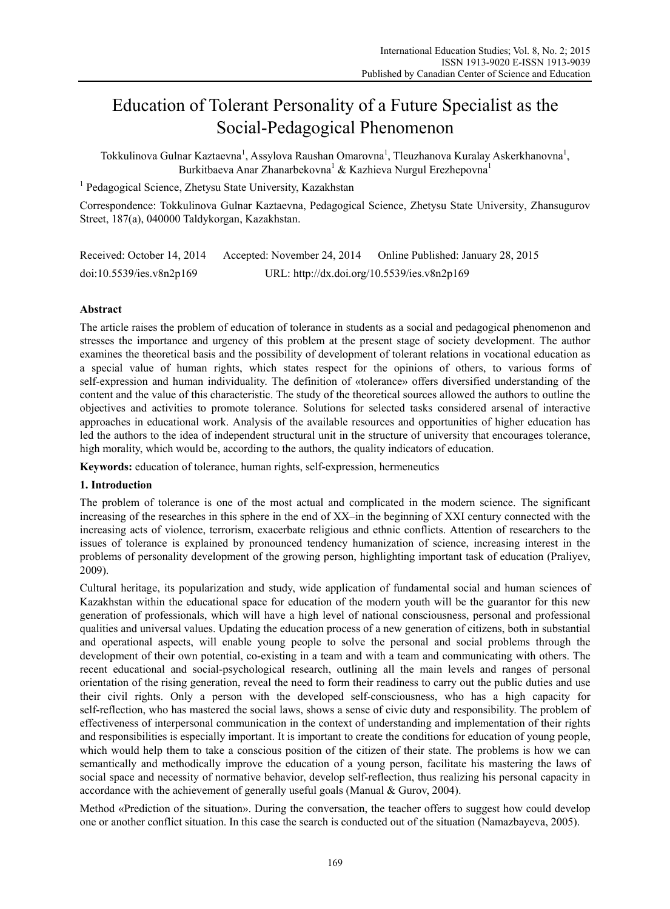# Education of Tolerant Personality of a Future Specialist as the Social-Pedagogical Phenomenon

Tokkulinova Gulnar Kaztaevna<sup>1</sup>, Assylova Raushan Omarovna<sup>1</sup>, Tleuzhanova Kuralay Askerkhanovna<sup>1</sup>, Burkitbaeva Anar Zhanarbekovna<sup>1</sup> & Kazhieva Nurgul Erezhepovna<sup>1</sup>

<sup>1</sup> Pedagogical Science, Zhetysu State University, Kazakhstan

Correspondence: Tokkulinova Gulnar Kaztaevna, Pedagogical Science, Zhetysu State University, Zhansugurov Street, 187(a), 040000 Taldykorgan, Kazakhstan.

| Received: October 14, 2014 | Accepted: November 24, 2014                 | Online Published: January 28, 2015 |
|----------------------------|---------------------------------------------|------------------------------------|
| doi:10.5539/ies.v8n2p169   | URL: http://dx.doi.org/10.5539/ies.v8n2p169 |                                    |

## **Abstract**

The article raises the problem of education of tolerance in students as a social and pedagogical phenomenon and stresses the importance and urgency of this problem at the present stage of society development. The author examines the theoretical basis and the possibility of development of tolerant relations in vocational education as a special value of human rights, which states respect for the opinions of others, to various forms of self-expression and human individuality. The definition of «tolerance» offers diversified understanding of the content and the value of this characteristic. The study of the theoretical sources allowed the authors to outline the objectives and activities to promote tolerance. Solutions for selected tasks considered arsenal of interactive approaches in educational work. Analysis of the available resources and opportunities of higher education has led the authors to the idea of independent structural unit in the structure of university that encourages tolerance, high morality, which would be, according to the authors, the quality indicators of education.

**Keywords:** education of tolerance, human rights, self-expression, hermeneutics

## **1. Introduction**

The problem of tolerance is one of the most actual and complicated in the modern science. The significant increasing of the researches in this sphere in the end of XX–in the beginning of XXI century connected with the increasing acts of violence, terrorism, exacerbate religious and ethnic conflicts. Attention of researchers to the issues of tolerance is explained by pronounced tendency humanization of science, increasing interest in the problems of personality development of the growing person, highlighting important task of education (Praliyev, 2009).

Cultural heritage, its popularization and study, wide application of fundamental social and human sciences of Kazakhstan within the educational space for education of the modern youth will be the guarantor for this new generation of professionals, which will have a high level of national consciousness, personal and professional qualities and universal values. Updating the education process of a new generation of citizens, both in substantial and operational aspects, will enable young people to solve the personal and social problems through the development of their own potential, co-existing in a team and with a team and communicating with others. The recent educational and social-psychological research, outlining all the main levels and ranges of personal orientation of the rising generation, reveal the need to form their readiness to carry out the public duties and use their civil rights. Only a person with the developed self-consciousness, who has a high capacity for self-reflection, who has mastered the social laws, shows a sense of civic duty and responsibility. The problem of effectiveness of interpersonal communication in the context of understanding and implementation of their rights and responsibilities is especially important. It is important to create the conditions for education of young people, which would help them to take a conscious position of the citizen of their state. The problems is how we can semantically and methodically improve the education of a young person, facilitate his mastering the laws of social space and necessity of normative behavior, develop self-reflection, thus realizing his personal capacity in accordance with the achievement of generally useful goals (Manual & Gurov, 2004).

Method «Prediction of the situation». During the conversation, the teacher offers to suggest how could develop one or another conflict situation. In this case the search is conducted out of the situation (Namazbayeva, 2005).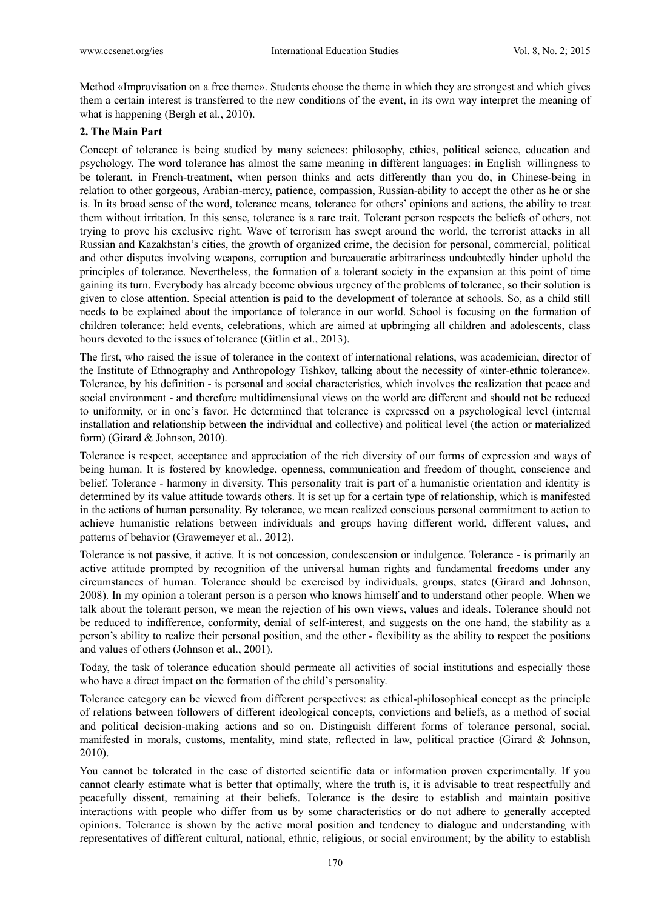Method «Improvisation on a free theme». Students choose the theme in which they are strongest and which gives them a certain interest is transferred to the new conditions of the event, in its own way interpret the meaning of what is happening (Bergh et al., 2010).

## **2. The Main Part**

Concept of tolerance is being studied by many sciences: philosophy, ethics, political science, education and psychology. The word tolerance has almost the same meaning in different languages: in English–willingness to be tolerant, in French-treatment, when person thinks and acts differently than you do, in Chinese-being in relation to other gorgeous, Arabian-mercy, patience, compassion, Russian-ability to accept the other as he or she is. In its broad sense of the word, tolerance means, tolerance for others' opinions and actions, the ability to treat them without irritation. In this sense, tolerance is a rare trait. Tolerant person respects the beliefs of others, not trying to prove his exclusive right. Wave of terrorism has swept around the world, the terrorist attacks in all Russian and Kazakhstan's cities, the growth of organized crime, the decision for personal, commercial, political and other disputes involving weapons, corruption and bureaucratic arbitrariness undoubtedly hinder uphold the principles of tolerance. Nevertheless, the formation of a tolerant society in the expansion at this point of time gaining its turn. Everybody has already become obvious urgency of the problems of tolerance, so their solution is given to close attention. Special attention is paid to the development of tolerance at schools. So, as a child still needs to be explained about the importance of tolerance in our world. School is focusing on the formation of children tolerance: held events, celebrations, which are aimed at upbringing all children and adolescents, class hours devoted to the issues of tolerance (Gitlin et al., 2013).

The first, who raised the issue of tolerance in the context of international relations, was academician, director of the Institute of Ethnography and Anthropology Tishkov, talking about the necessity of «inter-ethnic tolerance». Tolerance, by his definition - is personal and social characteristics, which involves the realization that peace and social environment - and therefore multidimensional views on the world are different and should not be reduced to uniformity, or in one's favor. He determined that tolerance is expressed on a psychological level (internal installation and relationship between the individual and collective) and political level (the action or materialized form) (Girard & Johnson, 2010).

Tolerance is respect, acceptance and appreciation of the rich diversity of our forms of expression and ways of being human. It is fostered by knowledge, openness, communication and freedom of thought, conscience and belief. Tolerance - harmony in diversity. This personality trait is part of a humanistic orientation and identity is determined by its value attitude towards others. It is set up for a certain type of relationship, which is manifested in the actions of human personality. By tolerance, we mean realized conscious personal commitment to action to achieve humanistic relations between individuals and groups having different world, different values, and patterns of behavior (Grawemeyer et al., 2012).

Tolerance is not passive, it active. It is not concession, condescension or indulgence. Tolerance - is primarily an active attitude prompted by recognition of the universal human rights and fundamental freedoms under any circumstances of human. Tolerance should be exercised by individuals, groups, states (Girard and Johnson, 2008). In my opinion a tolerant person is a person who knows himself and to understand other people. When we talk about the tolerant person, we mean the rejection of his own views, values and ideals. Tolerance should not be reduced to indifference, conformity, denial of self-interest, and suggests on the one hand, the stability as a person's ability to realize their personal position, and the other - flexibility as the ability to respect the positions and values of others (Johnson et al., 2001).

Today, the task of tolerance education should permeate all activities of social institutions and especially those who have a direct impact on the formation of the child's personality.

Tolerance category can be viewed from different perspectives: as ethical-philosophical concept as the principle of relations between followers of different ideological concepts, convictions and beliefs, as a method of social and political decision-making actions and so on. Distinguish different forms of tolerance–personal, social, manifested in morals, customs, mentality, mind state, reflected in law, political practice (Girard & Johnson, 2010).

You cannot be tolerated in the case of distorted scientific data or information proven experimentally. If you cannot clearly estimate what is better that optimally, where the truth is, it is advisable to treat respectfully and peacefully dissent, remaining at their beliefs. Tolerance is the desire to establish and maintain positive interactions with people who differ from us by some characteristics or do not adhere to generally accepted opinions. Tolerance is shown by the active moral position and tendency to dialogue and understanding with representatives of different cultural, national, ethnic, religious, or social environment; by the ability to establish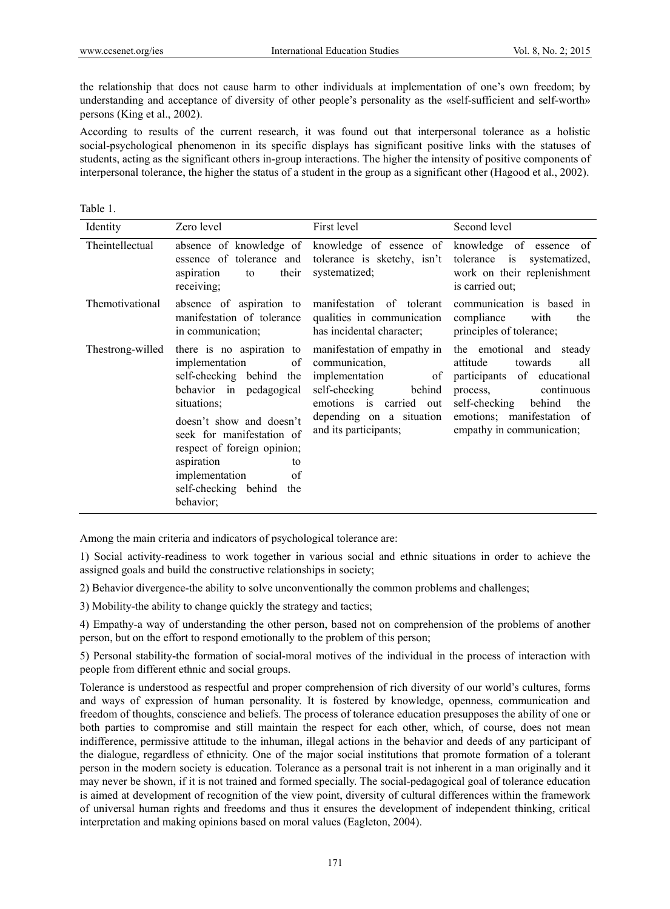the relationship that does not cause harm to other individuals at implementation of one's own freedom; by understanding and acceptance of diversity of other people's personality as the «self-sufficient and self-worth» persons (King et al., 2002).

According to results of the current research, it was found out that interpersonal tolerance as a holistic social-psychological phenomenon in its specific displays has significant positive links with the statuses of students, acting as the significant others in-group interactions. The higher the intensity of positive components of interpersonal tolerance, the higher the status of a student in the group as a significant other (Hagood et al., 2002).

| Identity         | Zero level                                                                                                                                                                                                                                                                                              | First level                                                                                                                                                                         | Second level                                                                                                                                                                                                 |
|------------------|---------------------------------------------------------------------------------------------------------------------------------------------------------------------------------------------------------------------------------------------------------------------------------------------------------|-------------------------------------------------------------------------------------------------------------------------------------------------------------------------------------|--------------------------------------------------------------------------------------------------------------------------------------------------------------------------------------------------------------|
| Theintellectual  | their<br>aspiration<br>to<br>receiving;                                                                                                                                                                                                                                                                 | essence of tolerance and tolerance is sketchy, isn't<br>systematized;                                                                                                               | absence of knowledge of knowledge of essence of knowledge of essence of<br>tolerance is<br>systematized,<br>work on their replenishment<br>is carried out;                                                   |
| Themotivational  | absence of aspiration to<br>manifestation of tolerance<br>in communication;                                                                                                                                                                                                                             | manifestation of tolerant<br>qualities in communication<br>has incidental character;                                                                                                | communication is based in<br>compliance<br>with<br>the<br>principles of tolerance;                                                                                                                           |
| Thestrong-willed | there is no aspiration to<br>implementation<br>of<br>self-checking behind the<br>behavior in pedagogical<br>situations;<br>doesn't show and doesn't<br>seek for manifestation of<br>respect of foreign opinion;<br>aspiration<br>to<br>implementation<br>of<br>self-checking behind<br>the<br>behavior; | manifestation of empathy in<br>communication.<br>implementation<br>of<br>self-checking<br>behind<br>emotions is<br>carried out<br>depending on a situation<br>and its participants; | the emotional and steady<br>attitude<br>towards<br>all<br>participants of educational<br>continuous<br>process,<br>self-checking<br>behind<br>the<br>emotions; manifestation of<br>empathy in communication; |

Among the main criteria and indicators of psychological tolerance are:

1) Social activity-readiness to work together in various social and ethnic situations in order to achieve the assigned goals and build the constructive relationships in society;

2) Behavior divergence-the ability to solve unconventionally the common problems and challenges;

3) Mobility-the ability to change quickly the strategy and tactics;

4) Empathy-a way of understanding the other person, based not on comprehension of the problems of another person, but on the effort to respond emotionally to the problem of this person;

5) Personal stability-the formation of social-moral motives of the individual in the process of interaction with people from different ethnic and social groups.

Tolerance is understood as respectful and proper comprehension of rich diversity of our world's cultures, forms and ways of expression of human personality. It is fostered by knowledge, openness, communication and freedom of thoughts, conscience and beliefs. The process of tolerance education presupposes the ability of one or both parties to compromise and still maintain the respect for each other, which, of course, does not mean indifference, permissive attitude to the inhuman, illegal actions in the behavior and deeds of any participant of the dialogue, regardless of ethnicity. One of the major social institutions that promote formation of a tolerant person in the modern society is education. Tolerance as a personal trait is not inherent in a man originally and it may never be shown, if it is not trained and formed specially. The social-pedagogical goal of tolerance education is aimed at development of recognition of the view point, diversity of cultural differences within the framework of universal human rights and freedoms and thus it ensures the development of independent thinking, critical interpretation and making opinions based on moral values (Eagleton, 2004).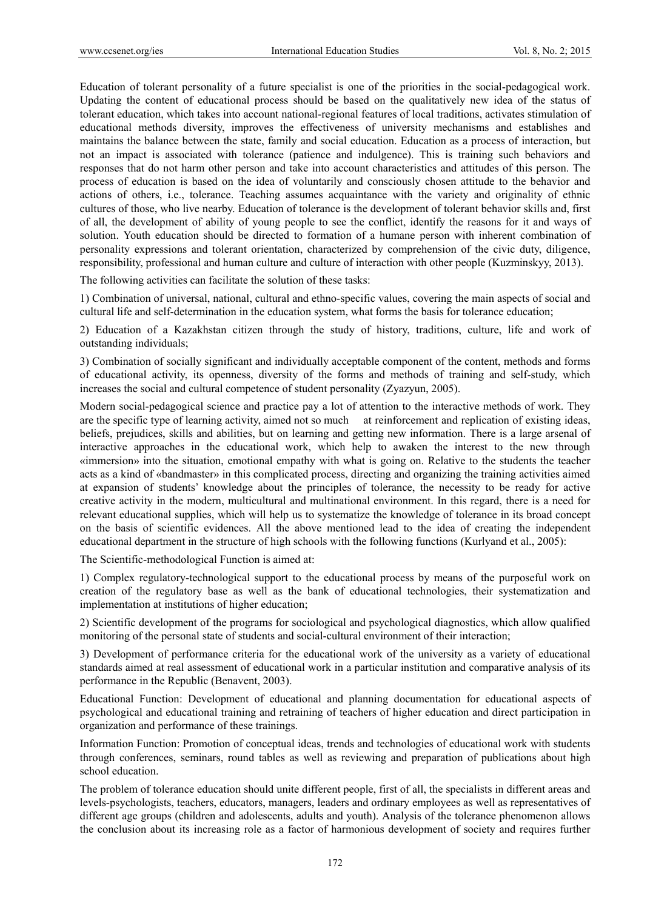Education of tolerant personality of a future specialist is one of the priorities in the social-pedagogical work. Updating the content of educational process should be based on the qualitatively new idea of the status of tolerant education, which takes into account national-regional features of local traditions, activates stimulation of educational methods diversity, improves the effectiveness of university mechanisms and establishes and maintains the balance between the state, family and social education. Education as a process of interaction, but not an impact is associated with tolerance (patience and indulgence). This is training such behaviors and responses that do not harm other person and take into account characteristics and attitudes of this person. The process of education is based on the idea of voluntarily and consciously chosen attitude to the behavior and actions of others, i.e., tolerance. Teaching assumes acquaintance with the variety and originality of ethnic cultures of those, who live nearby. Education of tolerance is the development of tolerant behavior skills and, first of all, the development of ability of young people to see the conflict, identify the reasons for it and ways of solution. Youth education should be directed to formation of a humane person with inherent combination of personality expressions and tolerant orientation, characterized by comprehension of the civic duty, diligence, responsibility, professional and human culture and culture of interaction with other people (Kuzminskyy, 2013).

The following activities can facilitate the solution of these tasks:

1) Combination of universal, national, cultural and ethno-specific values, covering the main aspects of social and cultural life and self-determination in the education system, what forms the basis for tolerance education;

2) Education of a Kazakhstan citizen through the study of history, traditions, culture, life and work of outstanding individuals;

3) Combination of socially significant and individually acceptable component of the content, methods and forms of educational activity, its openness, diversity of the forms and methods of training and self-study, which increases the social and cultural competence of student personality (Zyazyun, 2005).

Modern social-pedagogical science and practice pay a lot of attention to the interactive methods of work. They are the specific type of learning activity, aimed not so much at reinforcement and replication of existing ideas, beliefs, prejudices, skills and abilities, but on learning and getting new information. There is a large arsenal of interactive approaches in the educational work, which help to awaken the interest to the new through «immersion» into the situation, emotional empathy with what is going on. Relative to the students the teacher acts as a kind of «bandmaster» in this complicated process, directing and organizing the training activities aimed at expansion of students' knowledge about the principles of tolerance, the necessity to be ready for active creative activity in the modern, multicultural and multinational environment. In this regard, there is a need for relevant educational supplies, which will help us to systematize the knowledge of tolerance in its broad concept on the basis of scientific evidences. All the above mentioned lead to the idea of creating the independent educational department in the structure of high schools with the following functions (Kurlyand et al., 2005):

The Scientific-methodological Function is aimed at:

1) Complex regulatory-technological support to the educational process by means of the purposeful work on creation of the regulatory base as well as the bank of educational technologies, their systematization and implementation at institutions of higher education;

2) Scientific development of the programs for sociological and psychological diagnostics, which allow qualified monitoring of the personal state of students and social-cultural environment of their interaction;

3) Development of performance criteria for the educational work of the university as a variety of educational standards aimed at real assessment of educational work in a particular institution and comparative analysis of its performance in the Republic (Benavent, 2003).

Educational Function: Development of educational and planning documentation for educational aspects of psychological and educational training and retraining of teachers of higher education and direct participation in organization and performance of these trainings.

Information Function: Promotion of conceptual ideas, trends and technologies of educational work with students through conferences, seminars, round tables as well as reviewing and preparation of publications about high school education.

The problem of tolerance education should unite different people, first of all, the specialists in different areas and levels-psychologists, teachers, educators, managers, leaders and ordinary employees as well as representatives of different age groups (children and adolescents, adults and youth). Analysis of the tolerance phenomenon allows the conclusion about its increasing role as a factor of harmonious development of society and requires further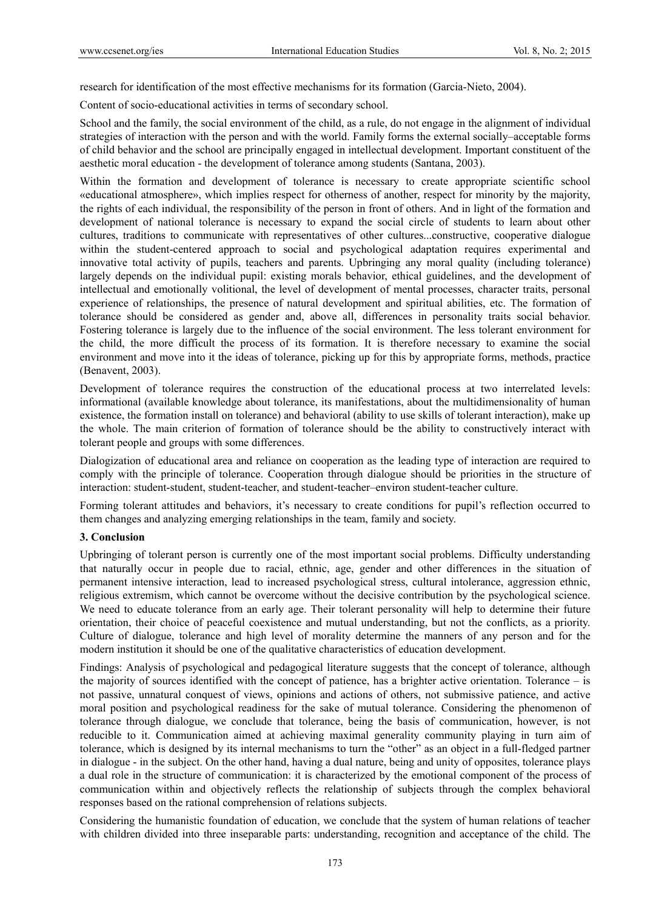research for identification of the most effective mechanisms for its formation (Garcia-Nieto, 2004).

Content of socio-educational activities in terms of secondary school.

School and the family, the social environment of the child, as a rule, do not engage in the alignment of individual strategies of interaction with the person and with the world. Family forms the external socially–acceptable forms of child behavior and the school are principally engaged in intellectual development. Important constituent of the aesthetic moral education - the development of tolerance among students (Santana, 2003).

Within the formation and development of tolerance is necessary to create appropriate scientific school «educational atmosphere», which implies respect for otherness of another, respect for minority by the majority, the rights of each individual, the responsibility of the person in front of others. And in light of the formation and development of national tolerance is necessary to expand the social circle of students to learn about other cultures, traditions to communicate with representatives of other cultures...constructive, cooperative dialogue within the student-centered approach to social and psychological adaptation requires experimental and innovative total activity of pupils, teachers and parents. Upbringing any moral quality (including tolerance) largely depends on the individual pupil: existing morals behavior, ethical guidelines, and the development of intellectual and emotionally volitional, the level of development of mental processes, character traits, personal experience of relationships, the presence of natural development and spiritual abilities, etc. The formation of tolerance should be considered as gender and, above all, differences in personality traits social behavior. Fostering tolerance is largely due to the influence of the social environment. The less tolerant environment for the child, the more difficult the process of its formation. It is therefore necessary to examine the social environment and move into it the ideas of tolerance, picking up for this by appropriate forms, methods, practice (Benavent, 2003).

Development of tolerance requires the construction of the educational process at two interrelated levels: informational (available knowledge about tolerance, its manifestations, about the multidimensionality of human existence, the formation install on tolerance) and behavioral (ability to use skills of tolerant interaction), make up the whole. The main criterion of formation of tolerance should be the ability to constructively interact with tolerant people and groups with some differences.

Dialogization of educational area and reliance on cooperation as the leading type of interaction are required to comply with the principle of tolerance. Cooperation through dialogue should be priorities in the structure of interaction: student-student, student-teacher, and student-teacher–environ student-teacher culture.

Forming tolerant attitudes and behaviors, it's necessary to create conditions for pupil's reflection occurred to them changes and analyzing emerging relationships in the team, family and society.

### **3. Conclusion**

Upbringing of tolerant person is currently one of the most important social problems. Difficulty understanding that naturally occur in people due to racial, ethnic, age, gender and other differences in the situation of permanent intensive interaction, lead to increased psychological stress, cultural intolerance, aggression ethnic, religious extremism, which cannot be overcome without the decisive contribution by the psychological science. We need to educate tolerance from an early age. Their tolerant personality will help to determine their future orientation, their choice of peaceful coexistence and mutual understanding, but not the conflicts, as a priority. Culture of dialogue, tolerance and high level of morality determine the manners of any person and for the modern institution it should be one of the qualitative characteristics of education development.

Findings: Analysis of psychological and pedagogical literature suggests that the concept of tolerance, although the majority of sources identified with the concept of patience, has a brighter active orientation. Tolerance – is not passive, unnatural conquest of views, opinions and actions of others, not submissive patience, and active moral position and psychological readiness for the sake of mutual tolerance. Considering the phenomenon of tolerance through dialogue, we conclude that tolerance, being the basis of communication, however, is not reducible to it. Communication aimed at achieving maximal generality community playing in turn aim of tolerance, which is designed by its internal mechanisms to turn the "other" as an object in a full-fledged partner in dialogue - in the subject. On the other hand, having a dual nature, being and unity of opposites, tolerance plays a dual role in the structure of communication: it is characterized by the emotional component of the process of communication within and objectively reflects the relationship of subjects through the complex behavioral responses based on the rational comprehension of relations subjects.

Considering the humanistic foundation of education, we conclude that the system of human relations of teacher with children divided into three inseparable parts: understanding, recognition and acceptance of the child. The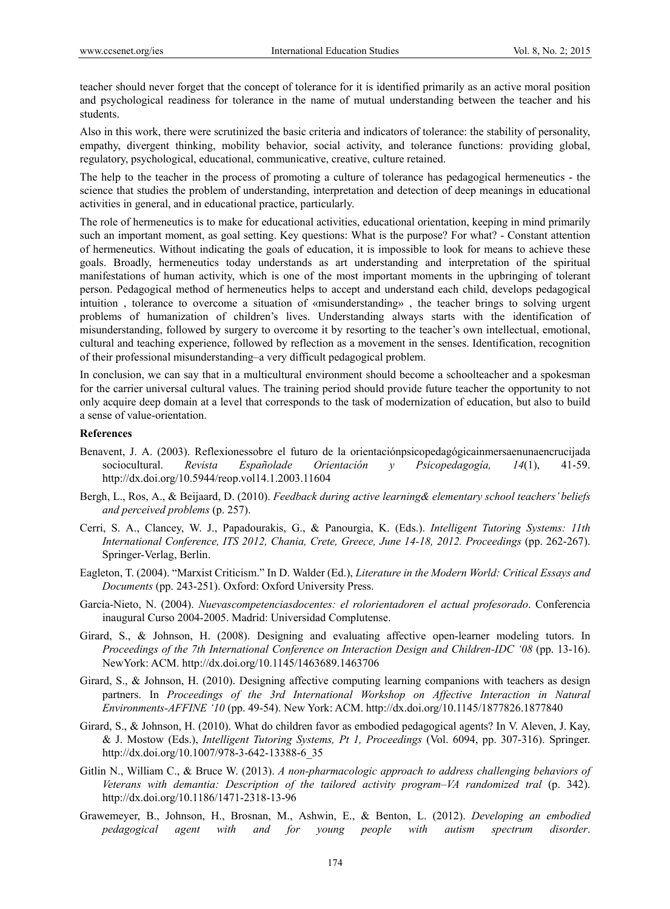teacher should never forget that the concept of tolerance for it is identified primarily as an active moral position and psychological readiness for tolerance in the name of mutual understanding between the teacher and his students.

Also in this work, there were scrutinized the basic criteria and indicators of tolerance: the stability of personality, empathy, divergent thinking, mobility behavior, social activity, and tolerance functions: providing global, regulatory, psychological, educational, communicative, creative, culture retained.

The help to the teacher in the process of promoting a culture of tolerance has pedagogical hermeneutics - the science that studies the problem of understanding, interpretation and detection of deep meanings in educational activities in general, and in educational practice, particularly.

The role of hermeneutics is to make for educational activities, educational orientation, keeping in mind primarily such an important moment, as goal setting. Key questions: What is the purpose? For what? - Constant attention of hermeneutics. Without indicating the goals of education, it is impossible to look for means to achieve these goals. Broadly, hermeneutics today understands as art understanding and interpretation of the spiritual manifestations of human activity, which is one of the most important moments in the upbringing of tolerant person. Pedagogical method of hermeneutics helps to accept and understand each child, develops pedagogical intuition , tolerance to overcome a situation of «misunderstanding» , the teacher brings to solving urgent problems of humanization of children's lives. Understanding always starts with the identification of misunderstanding, followed by surgery to overcome it by resorting to the teacher's own intellectual, emotional, cultural and teaching experience, followed by reflection as a movement in the senses. Identification, recognition of their professional misunderstanding–a very difficult pedagogical problem.

In conclusion, we can say that in a multicultural environment should become a schoolteacher and a spokesman for the carrier universal cultural values. The training period should provide future teacher the opportunity to not only acquire deep domain at a level that corresponds to the task of modernization of education, but also to build a sense of value-orientation.

#### **References**

- Benavent, J. A. (2003). Reflexionessobre el futuro de la orientaciónpsicopedagógicainmersaenunaencrucijada sociocultural. *Revista Españolade Orientación y Psicopedagogía, 14*(1), 41-59. http://dx.doi.org/10.5944/reop.vol14.1.2003.11604
- Bergh, L., Ros, A., & Beijaard, D. (2010). *Feedback during active learning& elementary school teachers' beliefs and perceived problems* (p. 257).
- Cerri, S. A., Clancey, W. J., Papadourakis, G., & Panourgia, K. (Eds.). *Intelligent Tutoring Systems: 11th International Conference, ITS 2012, Chania, Crete, Greece, June 14-18, 2012. Proceedings* (pp. 262-267). Springer-Verlag, Berlin.
- Eagleton, T. (2004). "Marxist Criticism." In D. Walder (Ed.), *Literature in the Modern World: Critical Essays and Documents* (pp. 243-251). Oxford: Oxford University Press.
- García-Nieto, N. (2004). *Nuevascompetenciasdocentes: el rolorientadoren el actual profesorado*. Conferencia inaugural Curso 2004-2005. Madrid: Universidad Complutense.
- Girard, S., & Johnson, H. (2008). Designing and evaluating affective open-learner modeling tutors. In *Proceedings of the 7th International Conference on Interaction Design and Children-IDC '08* (pp. 13-16). NewYork: ACM. http://dx.doi.org/10.1145/1463689.1463706
- Girard, S., & Johnson, H. (2010). Designing affective computing learning companions with teachers as design partners. In Proceedings of the 3rd International Workshop on Affective Interaction in Natural *Environments-AFFINE '10* (pp. 49-54). New York: ACM. http://dx.doi.org/10.1145/1877826.1877840
- Girard, S., & Johnson, H. (2010). What do children favor as embodied pedagogical agents? In V. Aleven, J. Kay, & J. Mostow (Eds.), *Intelligent Tutoring Systems, Pt 1, Proceedings* (Vol. 6094, pp. 307-316). Springer. http://dx.doi.org/10.1007/978-3-642-13388-6\_35
- Gitlin N., William C., & Bruce W. (2013). *A non-pharmacologic approach to address challenging behaviors of Veterans with demantia: Description of the tailored activity program–VA randomized tral* (p. 342). http://dx.doi.org/10.1186/1471-2318-13-96
- Grawemeyer, B., Johnson, H., Brosnan, M., Ashwin, E., & Benton, L. (2012). *Developing an embodied pedagogical agent with and for young people with autism spectrum disorder*.